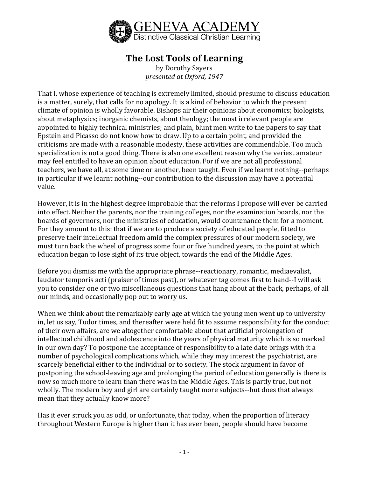

## **The Lost Tools of Learning**

by Dorothy Sayers *presented at Oxford, 1947*

That I, whose experience of teaching is extremely limited, should presume to discuss education is a matter, surely, that calls for no apology. It is a kind of behavior to which the present climate of opinion is wholly favorable. Bishops air their opinions about economics; biologists, about metaphysics; inorganic chemists, about theology; the most irrelevant people are appointed to highly technical ministries; and plain, blunt men write to the papers to say that Epstein and Picasso do not know how to draw. Up to a certain point, and provided the criticisms are made with a reasonable modesty, these activities are commendable. Too much specialization is not a good thing. There is also one excellent reason why the veriest amateur may feel entitled to have an opinion about education. For if we are not all professional teachers, we have all, at some time or another, been taught. Even if we learnt nothing--perhaps in particular if we learnt nothing--our contribution to the discussion may have a potential value. 

However, it is in the highest degree improbable that the reforms I propose will ever be carried into effect. Neither the parents, nor the training colleges, nor the examination boards, nor the boards of governors, nor the ministries of education, would countenance them for a moment. For they amount to this: that if we are to produce a society of educated people, fitted to preserve their intellectual freedom amid the complex pressures of our modern society, we must turn back the wheel of progress some four or five hundred years, to the point at which education began to lose sight of its true object, towards the end of the Middle Ages.

Before you dismiss me with the appropriate phrase--reactionary, romantic, mediaevalist, laudator temporis acti (praiser of times past), or whatever tag comes first to hand--I will ask you to consider one or two miscellaneous questions that hang about at the back, perhaps, of all our minds, and occasionally pop out to worry us.

When we think about the remarkably early age at which the young men went up to university in, let us say, Tudor times, and thereafter were held fit to assume responsibility for the conduct of their own affairs, are we altogether comfortable about that artificial prolongation of intellectual childhood and adolescence into the years of physical maturity which is so marked in our own day? To postpone the acceptance of responsibility to a late date brings with it a number of psychological complications which, while they may interest the psychiatrist, are scarcely beneficial either to the individual or to society. The stock argument in favor of postponing the school-leaving age and prolonging the period of education generally is there is now so much more to learn than there was in the Middle Ages. This is partly true, but not wholly. The modern boy and girl are certainly taught more subjects--but does that always mean that they actually know more?

Has it ever struck you as odd, or unfortunate, that today, when the proportion of literacy throughout Western Europe is higher than it has ever been, people should have become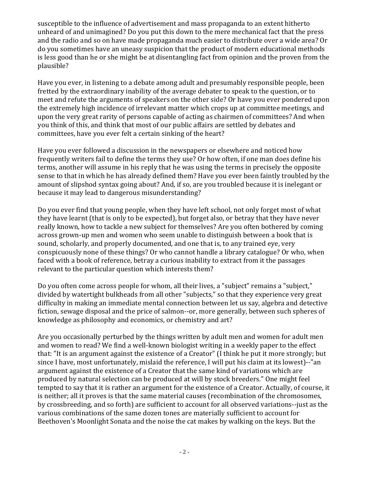susceptible to the influence of advertisement and mass propaganda to an extent hitherto unheard of and unimagined? Do you put this down to the mere mechanical fact that the press and the radio and so on have made propaganda much easier to distribute over a wide area? Or do you sometimes have an uneasy suspicion that the product of modern educational methods is less good than he or she might be at disentangling fact from opinion and the proven from the plausible? 

Have you ever, in listening to a debate among adult and presumably responsible people, been fretted by the extraordinary inability of the average debater to speak to the question, or to meet and refute the arguments of speakers on the other side? Or have you ever pondered upon the extremely high incidence of irrelevant matter which crops up at committee meetings, and upon the very great rarity of persons capable of acting as chairmen of committees? And when you think of this, and think that most of our public affairs are settled by debates and committees, have you ever felt a certain sinking of the heart?

Have you ever followed a discussion in the newspapers or elsewhere and noticed how frequently writers fail to define the terms they use? Or how often, if one man does define his terms, another will assume in his reply that he was using the terms in precisely the opposite sense to that in which he has already defined them? Have you ever been faintly troubled by the amount of slipshod syntax going about? And, if so, are you troubled because it is inelegant or because it may lead to dangerous misunderstanding?

Do you ever find that young people, when they have left school, not only forget most of what they have learnt (that is only to be expected), but forget also, or betray that they have never really known, how to tackle a new subject for themselves? Are you often bothered by coming across grown-up men and women who seem unable to distinguish between a book that is sound, scholarly, and properly documented, and one that is, to any trained eye, very conspicuously none of these things? Or who cannot handle a library catalogue? Or who, when faced with a book of reference, betray a curious inability to extract from it the passages relevant to the particular question which interests them?

Do you often come across people for whom, all their lives, a "subject" remains a "subject," divided by watertight bulkheads from all other "subjects," so that they experience very great difficulty in making an immediate mental connection between let us say, algebra and detective fiction, sewage disposal and the price of salmon--or, more generally, between such spheres of knowledge as philosophy and economics, or chemistry and art?

Are you occasionally perturbed by the things written by adult men and women for adult men and women to read? We find a well-known biologist writing in a weekly paper to the effect that: "It is an argument against the existence of a Creator" (I think he put it more strongly; but since I have, most unfortunately, mislaid the reference, I will put his claim at its lowest)--"an argument against the existence of a Creator that the same kind of variations which are produced by natural selection can be produced at will by stock breeders." One might feel tempted to say that it is rather an argument for the existence of a Creator. Actually, of course, it is neither; all it proves is that the same material causes (recombination of the chromosomes, by crossbreeding, and so forth) are sufficient to account for all observed variations--just as the various combinations of the same dozen tones are materially sufficient to account for Beethoven's Moonlight Sonata and the noise the cat makes by walking on the keys. But the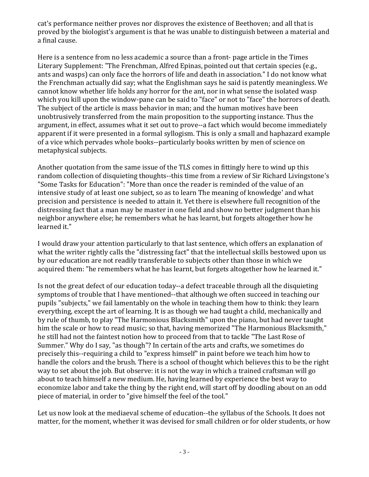cat's performance neither proves nor disproves the existence of Beethoven; and all that is proved by the biologist's argument is that he was unable to distinguish between a material and a final cause.

Here is a sentence from no less academic a source than a front- page article in the Times Literary Supplement: "The Frenchman, Alfred Epinas, pointed out that certain species (e.g., ants and wasps) can only face the horrors of life and death in association." I do not know what the Frenchman actually did say; what the Englishman says he said is patently meaningless. We cannot know whether life holds any horror for the ant, nor in what sense the isolated wasp which you kill upon the window-pane can be said to "face" or not to "face" the horrors of death. The subject of the article is mass behavior in man; and the human motives have been unobtrusively transferred from the main proposition to the supporting instance. Thus the argument, in effect, assumes what it set out to prove--a fact which would become immediately apparent if it were presented in a formal syllogism. This is only a small and haphazard example of a vice which pervades whole books--particularly books written by men of science on metaphysical subjects.

Another quotation from the same issue of the TLS comes in fittingly here to wind up this random collection of disquieting thoughts--this time from a review of Sir Richard Livingstone's "Some Tasks for Education": "More than once the reader is reminded of the value of an intensive study of at least one subject, so as to learn The meaning of knowledge' and what precision and persistence is needed to attain it. Yet there is elsewhere full recognition of the distressing fact that a man may be master in one field and show no better judgment than his neighbor anywhere else; he remembers what he has learnt, but forgets altogether how he learned it."

I would draw your attention particularly to that last sentence, which offers an explanation of what the writer rightly calls the "distressing fact" that the intellectual skills bestowed upon us by our education are not readily transferable to subjects other than those in which we acquired them: "he remembers what he has learnt, but forgets altogether how he learned it."

Is not the great defect of our education today--a defect traceable through all the disquieting symptoms of trouble that I have mentioned--that although we often succeed in teaching our pupils "subjects," we fail lamentably on the whole in teaching them how to think: they learn everything, except the art of learning. It is as though we had taught a child, mechanically and by rule of thumb, to play "The Harmonious Blacksmith" upon the piano, but had never taught him the scale or how to read music; so that, having memorized "The Harmonious Blacksmith," he still had not the faintest notion how to proceed from that to tackle "The Last Rose of Summer." Why do I say, "as though"? In certain of the arts and crafts, we sometimes do precisely this--requiring a child to "express himself" in paint before we teach him how to handle the colors and the brush. There is a school of thought which believes this to be the right way to set about the job. But observe: it is not the way in which a trained craftsman will go about to teach himself a new medium. He, having learned by experience the best way to economize labor and take the thing by the right end, will start off by doodling about on an odd piece of material, in order to "give himself the feel of the tool."

Let us now look at the mediaeval scheme of education--the syllabus of the Schools. It does not matter, for the moment, whether it was devised for small children or for older students, or how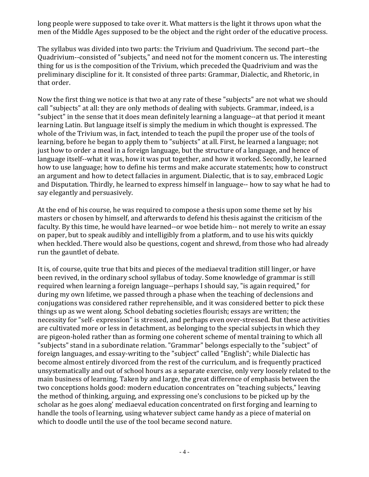long people were supposed to take over it. What matters is the light it throws upon what the men of the Middle Ages supposed to be the object and the right order of the educative process.

The syllabus was divided into two parts: the Trivium and Quadrivium. The second part--the Quadrivium--consisted of "subjects," and need not for the moment concern us. The interesting thing for us is the composition of the Trivium, which preceded the Quadrivium and was the preliminary discipline for it. It consisted of three parts: Grammar, Dialectic, and Rhetoric, in that order.

Now the first thing we notice is that two at any rate of these "subjects" are not what we should call "subjects" at all: they are only methods of dealing with subjects. Grammar, indeed, is a "subject" in the sense that it does mean definitely learning a language--at that period it meant learning Latin. But language itself is simply the medium in which thought is expressed. The whole of the Trivium was, in fact, intended to teach the pupil the proper use of the tools of learning, before he began to apply them to "subjects" at all. First, he learned a language; not just how to order a meal in a foreign language, but the structure of a language, and hence of language itself--what it was, how it was put together, and how it worked. Secondly, he learned how to use language; how to define his terms and make accurate statements; how to construct an argument and how to detect fallacies in argument. Dialectic, that is to say, embraced Logic and Disputation. Thirdly, he learned to express himself in language-- how to say what he had to say elegantly and persuasively.

At the end of his course, he was required to compose a thesis upon some theme set by his masters or chosen by himself, and afterwards to defend his thesis against the criticism of the faculty. By this time, he would have learned--or woe betide him-- not merely to write an essay on paper, but to speak audibly and intelligibly from a platform, and to use his wits quickly when heckled. There would also be questions, cogent and shrewd, from those who had already run the gauntlet of debate.

It is, of course, quite true that bits and pieces of the mediaeval tradition still linger, or have been revived, in the ordinary school syllabus of today. Some knowledge of grammar is still required when learning a foreign language--perhaps I should say, "is again required," for during my own lifetime, we passed through a phase when the teaching of declensions and conjugations was considered rather reprehensible, and it was considered better to pick these things up as we went along. School debating societies flourish; essays are written; the necessity for "self- expression" is stressed, and perhaps even over-stressed. But these activities are cultivated more or less in detachment, as belonging to the special subjects in which they are pigeon-holed rather than as forming one coherent scheme of mental training to which all "subjects" stand in a subordinate relation. "Grammar" belongs especially to the "subject" of foreign languages, and essay-writing to the "subject" called "English"; while Dialectic has become almost entirely divorced from the rest of the curriculum, and is frequently practiced unsystematically and out of school hours as a separate exercise, only very loosely related to the main business of learning. Taken by and large, the great difference of emphasis between the two conceptions holds good: modern education concentrates on "teaching subjects," leaving the method of thinking, arguing, and expressing one's conclusions to be picked up by the scholar as he goes along' mediaeval education concentrated on first forging and learning to handle the tools of learning, using whatever subject came handy as a piece of material on which to doodle until the use of the tool became second nature.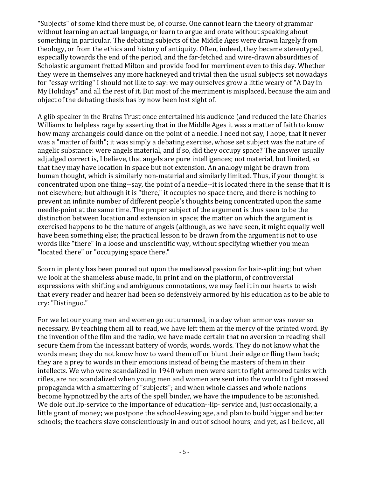"Subjects" of some kind there must be, of course. One cannot learn the theory of grammar without learning an actual language, or learn to argue and orate without speaking about something in particular. The debating subjects of the Middle Ages were drawn largely from theology, or from the ethics and history of antiquity. Often, indeed, they became stereotyped, especially towards the end of the period, and the far-fetched and wire-drawn absurdities of Scholastic argument fretted Milton and provide food for merriment even to this day. Whether they were in themselves any more hackneyed and trivial then the usual subjects set nowadays for "essay writing" I should not like to say: we may ourselves grow a little weary of "A Day in My Holidays" and all the rest of it. But most of the merriment is misplaced, because the aim and object of the debating thesis has by now been lost sight of.

A glib speaker in the Brains Trust once entertained his audience (and reduced the late Charles Williams to helpless rage by asserting that in the Middle Ages it was a matter of faith to know how many archangels could dance on the point of a needle. I need not say, I hope, that it never was a "matter of faith"; it was simply a debating exercise, whose set subject was the nature of angelic substance: were angels material, and if so, did they occupy space? The answer usually adjudged correct is, I believe, that angels are pure intelligences; not material, but limited, so that they may have location in space but not extension. An analogy might be drawn from human thought, which is similarly non-material and similarly limited. Thus, if your thought is concentrated upon one thing--say, the point of a needle--it is located there in the sense that it is not elsewhere; but although it is "there," it occupies no space there, and there is nothing to prevent an infinite number of different people's thoughts being concentrated upon the same needle-point at the same time. The proper subject of the argument is thus seen to be the distinction between location and extension in space; the matter on which the argument is exercised happens to be the nature of angels (although, as we have seen, it might equally well have been something else; the practical lesson to be drawn from the argument is not to use words like "there" in a loose and unscientific way, without specifying whether you mean "located there" or "occupying space there."

Scorn in plenty has been poured out upon the mediaeval passion for hair-splitting; but when we look at the shameless abuse made, in print and on the platform, of controversial expressions with shifting and ambiguous connotations, we may feel it in our hearts to wish that every reader and hearer had been so defensively armored by his education as to be able to cry: "Distinguo." 

For we let our young men and women go out unarmed, in a day when armor was never so necessary. By teaching them all to read, we have left them at the mercy of the printed word. By the invention of the film and the radio, we have made certain that no aversion to reading shall secure them from the incessant battery of words, words, words. They do not know what the words mean; they do not know how to ward them off or blunt their edge or fling them back; they are a prey to words in their emotions instead of being the masters of them in their intellects. We who were scandalized in 1940 when men were sent to fight armored tanks with rifles, are not scandalized when young men and women are sent into the world to fight massed propaganda with a smattering of "subjects"; and when whole classes and whole nations become hypnotized by the arts of the spell binder, we have the impudence to be astonished. We dole out lip-service to the importance of education--lip- service and, just occasionally, a little grant of money; we postpone the school-leaving age, and plan to build bigger and better schools; the teachers slave conscientiously in and out of school hours; and yet, as I believe, all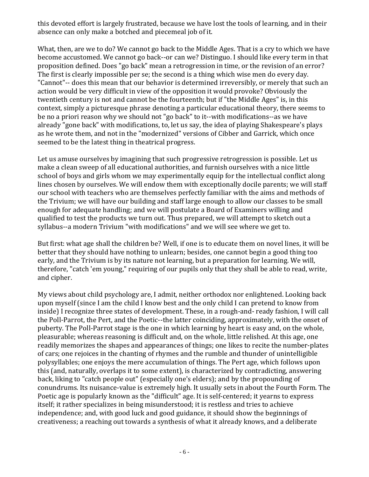this devoted effort is largely frustrated, because we have lost the tools of learning, and in their absence can only make a botched and piecemeal job of it.

What, then, are we to do? We cannot go back to the Middle Ages. That is a cry to which we have become accustomed. We cannot go back--or can we? Distinguo. I should like every term in that proposition defined. Does "go back" mean a retrogression in time, or the revision of an error? The first is clearly impossible per se; the second is a thing which wise men do every day. "Cannot"-- does this mean that our behavior is determined irreversibly, or merely that such an action would be very difficult in view of the opposition it would provoke? Obviously the twentieth century is not and cannot be the fourteenth; but if "the Middle Ages" is, in this context, simply a picturesque phrase denoting a particular educational theory, there seems to be no a priori reason why we should not "go back" to it--with modifications--as we have already "gone back" with modifications, to, let us say, the idea of playing Shakespeare's plays as he wrote them, and not in the "modernized" versions of Cibber and Garrick, which once seemed to be the latest thing in theatrical progress.

Let us amuse ourselves by imagining that such progressive retrogression is possible. Let us make a clean sweep of all educational authorities, and furnish ourselves with a nice little school of boys and girls whom we may experimentally equip for the intellectual conflict along lines chosen by ourselves. We will endow them with exceptionally docile parents; we will staff our school with teachers who are themselves perfectly familiar with the aims and methods of the Trivium; we will have our building and staff large enough to allow our classes to be small enough for adequate handling; and we will postulate a Board of Examiners willing and qualified to test the products we turn out. Thus prepared, we will attempt to sketch out a syllabus--a modern Trivium "with modifications" and we will see where we get to.

But first: what age shall the children be? Well, if one is to educate them on novel lines, it will be better that they should have nothing to unlearn; besides, one cannot begin a good thing too early, and the Trivium is by its nature not learning, but a preparation for learning. We will, therefore, "catch 'em young," requiring of our pupils only that they shall be able to read, write, and cipher.

My views about child psychology are, I admit, neither orthodox nor enlightened. Looking back upon myself (since I am the child I know best and the only child I can pretend to know from inside) I recognize three states of development. These, in a rough-and- ready fashion, I will call the Poll-Parrot, the Pert, and the Poetic--the latter coinciding, approximately, with the onset of puberty. The Poll-Parrot stage is the one in which learning by heart is easy and, on the whole, pleasurable; whereas reasoning is difficult and, on the whole, little relished. At this age, one readily memorizes the shapes and appearances of things; one likes to recite the number-plates of cars; one rejoices in the chanting of rhymes and the rumble and thunder of unintelligible polysyllables; one enjoys the mere accumulation of things. The Pert age, which follows upon this (and, naturally, overlaps it to some extent), is characterized by contradicting, answering back, liking to "catch people out" (especially one's elders); and by the propounding of conundrums. Its nuisance-value is extremely high. It usually sets in about the Fourth Form. The Poetic age is popularly known as the "difficult" age. It is self-centered; it yearns to express itself; it rather specializes in being misunderstood; it is restless and tries to achieve independence; and, with good luck and good guidance, it should show the beginnings of creativeness; a reaching out towards a synthesis of what it already knows, and a deliberate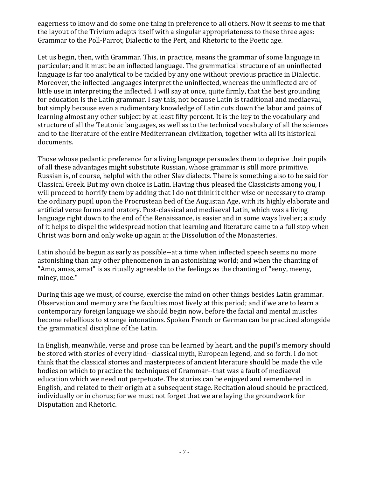eagerness to know and do some one thing in preference to all others. Now it seems to me that the layout of the Trivium adapts itself with a singular appropriateness to these three ages: Grammar to the Poll-Parrot, Dialectic to the Pert, and Rhetoric to the Poetic age.

Let us begin, then, with Grammar. This, in practice, means the grammar of some language in particular; and it must be an inflected language. The grammatical structure of an uninflected language is far too analytical to be tackled by any one without previous practice in Dialectic. Moreover, the inflected languages interpret the uninflected, whereas the uninflected are of little use in interpreting the inflected. I will say at once, quite firmly, that the best grounding for education is the Latin grammar. I say this, not because Latin is traditional and mediaeval, but simply because even a rudimentary knowledge of Latin cuts down the labor and pains of learning almost any other subject by at least fifty percent. It is the key to the vocabulary and structure of all the Teutonic languages, as well as to the technical vocabulary of all the sciences and to the literature of the entire Mediterranean civilization, together with all its historical documents. 

Those whose pedantic preference for a living language persuades them to deprive their pupils of all these advantages might substitute Russian, whose grammar is still more primitive. Russian is, of course, helpful with the other Slav dialects. There is something also to be said for Classical Greek. But my own choice is Latin. Having thus pleased the Classicists among you, I will proceed to horrify them by adding that I do not think it either wise or necessary to cramp the ordinary pupil upon the Procrustean bed of the Augustan Age, with its highly elaborate and artificial verse forms and oratory. Post-classical and mediaeval Latin, which was a living language right down to the end of the Renaissance, is easier and in some ways livelier; a study of it helps to dispel the widespread notion that learning and literature came to a full stop when Christ was born and only woke up again at the Dissolution of the Monasteries.

Latin should be begun as early as possible--at a time when inflected speech seems no more astonishing than any other phenomenon in an astonishing world; and when the chanting of "Amo, amas, amat" is as ritually agreeable to the feelings as the chanting of "eeny, meeny, miney, moe."

During this age we must, of course, exercise the mind on other things besides Latin grammar. Observation and memory are the faculties most lively at this period; and if we are to learn a contemporary foreign language we should begin now, before the facial and mental muscles become rebellious to strange intonations. Spoken French or German can be practiced alongside the grammatical discipline of the Latin.

In English, meanwhile, verse and prose can be learned by heart, and the pupil's memory should be stored with stories of every kind--classical myth, European legend, and so forth. I do not think that the classical stories and masterpieces of ancient literature should be made the vile bodies on which to practice the techniques of Grammar--that was a fault of mediaeval education which we need not perpetuate. The stories can be enjoyed and remembered in English, and related to their origin at a subsequent stage. Recitation aloud should be practiced, individually or in chorus; for we must not forget that we are laying the groundwork for Disputation and Rhetoric.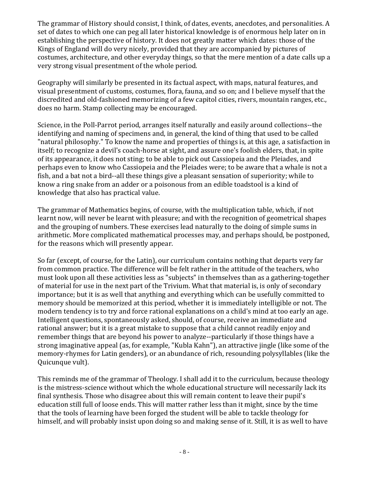The grammar of History should consist, I think, of dates, events, anecdotes, and personalities. A set of dates to which one can peg all later historical knowledge is of enormous help later on in establishing the perspective of history. It does not greatly matter which dates: those of the Kings of England will do very nicely, provided that they are accompanied by pictures of costumes, architecture, and other everyday things, so that the mere mention of a date calls up a very strong visual presentment of the whole period.

Geography will similarly be presented in its factual aspect, with maps, natural features, and visual presentment of customs, costumes, flora, fauna, and so on; and I believe myself that the discredited and old-fashioned memorizing of a few capitol cities, rivers, mountain ranges, etc., does no harm. Stamp collecting may be encouraged.

Science, in the Poll-Parrot period, arranges itself naturally and easily around collections--the identifying and naming of specimens and, in general, the kind of thing that used to be called "natural philosophy." To know the name and properties of things is, at this age, a satisfaction in itself; to recognize a devil's coach-horse at sight, and assure one's foolish elders, that, in spite of its appearance, it does not sting; to be able to pick out Cassiopeia and the Pleiades, and perhaps even to know who Cassiopeia and the Pleiades were; to be aware that a whale is not a fish, and a bat not a bird--all these things give a pleasant sensation of superiority; while to know a ring snake from an adder or a poisonous from an edible toadstool is a kind of knowledge that also has practical value.

The grammar of Mathematics begins, of course, with the multiplication table, which, if not learnt now, will never be learnt with pleasure; and with the recognition of geometrical shapes and the grouping of numbers. These exercises lead naturally to the doing of simple sums in arithmetic. More complicated mathematical processes may, and perhaps should, be postponed, for the reasons which will presently appear.

So far (except, of course, for the Latin), our curriculum contains nothing that departs very far from common practice. The difference will be felt rather in the attitude of the teachers, who must look upon all these activities less as "subjects" in themselves than as a gathering-together of material for use in the next part of the Trivium. What that material is, is only of secondary importance; but it is as well that anything and everything which can be usefully committed to memory should be memorized at this period, whether it is immediately intelligible or not. The modern tendency is to try and force rational explanations on a child's mind at too early an age. Intelligent questions, spontaneously asked, should, of course, receive an immediate and rational answer; but it is a great mistake to suppose that a child cannot readily enjoy and remember things that are beyond his power to analyze--particularly if those things have a strong imaginative appeal (as, for example, "Kubla Kahn"), an attractive jingle (like some of the memory-rhymes for Latin genders), or an abundance of rich, resounding polysyllables (like the Ouicunque vult).

This reminds me of the grammar of Theology. I shall add it to the curriculum, because theology is the mistress-science without which the whole educational structure will necessarily lack its final synthesis. Those who disagree about this will remain content to leave their pupil's education still full of loose ends. This will matter rather less than it might, since by the time that the tools of learning have been forged the student will be able to tackle theology for himself, and will probably insist upon doing so and making sense of it. Still, it is as well to have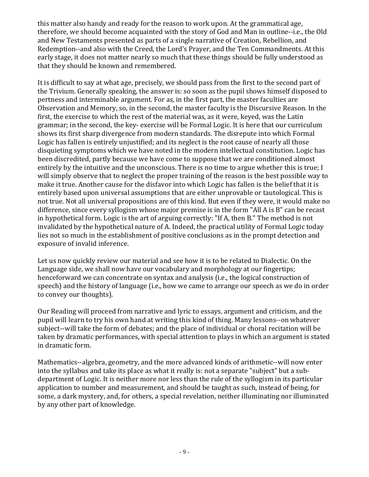this matter also handy and ready for the reason to work upon. At the grammatical age, therefore, we should become acquainted with the story of God and Man in outline--i.e., the Old and New Testaments presented as parts of a single narrative of Creation, Rebellion, and Redemption--and also with the Creed, the Lord's Prayer, and the Ten Commandments. At this early stage, it does not matter nearly so much that these things should be fully understood as that they should be known and remembered.

It is difficult to say at what age, precisely, we should pass from the first to the second part of the Trivium. Generally speaking, the answer is: so soon as the pupil shows himself disposed to pertness and interminable argument. For as, in the first part, the master faculties are Observation and Memory, so, in the second, the master faculty is the Discursive Reason. In the first, the exercise to which the rest of the material was, as it were, keyed, was the Latin grammar; in the second, the key- exercise will be Formal Logic. It is here that our curriculum shows its first sharp divergence from modern standards. The disrepute into which Formal Logic has fallen is entirely unjustified; and its neglect is the root cause of nearly all those disquieting symptoms which we have noted in the modern intellectual constitution. Logic has been discredited, partly because we have come to suppose that we are conditioned almost entirely by the intuitive and the unconscious. There is no time to argue whether this is true; I will simply observe that to neglect the proper training of the reason is the best possible way to make it true. Another cause for the disfavor into which Logic has fallen is the belief that it is entirely based upon universal assumptions that are either unprovable or tautological. This is not true. Not all universal propositions are of this kind. But even if they were, it would make no difference, since every syllogism whose major premise is in the form "All  $A$  is  $B$ " can be recast in hypothetical form. Logic is the art of arguing correctly: "If A, then B." The method is not invalidated by the hypothetical nature of A. Indeed, the practical utility of Formal Logic today lies not so much in the establishment of positive conclusions as in the prompt detection and exposure of invalid inference.

Let us now quickly review our material and see how it is to be related to Dialectic. On the Language side, we shall now have our vocabulary and morphology at our fingertips; henceforward we can concentrate on syntax and analysis (i.e., the logical construction of speech) and the history of language (i.e., how we came to arrange our speech as we do in order to convey our thoughts).

Our Reading will proceed from narrative and lyric to essays, argument and criticism, and the pupil will learn to try his own hand at writing this kind of thing. Many lessons--on whatever subject--will take the form of debates; and the place of individual or choral recitation will be taken by dramatic performances, with special attention to plays in which an argument is stated in dramatic form.

Mathematics--algebra, geometry, and the more advanced kinds of arithmetic--will now enter into the syllabus and take its place as what it really is: not a separate "subject" but a subdepartment of Logic. It is neither more nor less than the rule of the syllogism in its particular application to number and measurement, and should be taught as such, instead of being, for some, a dark mystery, and, for others, a special revelation, neither illuminating nor illuminated by any other part of knowledge.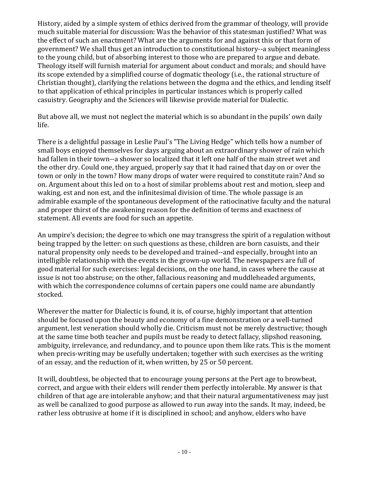History, aided by a simple system of ethics derived from the grammar of theology, will provide much suitable material for discussion: Was the behavior of this statesman justified? What was the effect of such an enactment? What are the arguments for and against this or that form of government? We shall thus get an introduction to constitutional history--a subject meaningless to the young child, but of absorbing interest to those who are prepared to argue and debate. Theology itself will furnish material for argument about conduct and morals; and should have its scope extended by a simplified course of dogmatic theology (i.e., the rational structure of Christian thought), clarifying the relations between the dogma and the ethics, and lending itself to that application of ethical principles in particular instances which is properly called casuistry. Geography and the Sciences will likewise provide material for Dialectic.

But above all, we must not neglect the material which is so abundant in the pupils' own daily life. 

There is a delightful passage in Leslie Paul's "The Living Hedge" which tells how a number of small boys enjoyed themselves for days arguing about an extraordinary shower of rain which had fallen in their town--a shower so localized that it left one half of the main street wet and the other dry. Could one, they argued, properly say that it had rained that day on or over the town or only in the town? How many drops of water were required to constitute rain? And so on. Argument about this led on to a host of similar problems about rest and motion, sleep and waking, est and non est, and the infinitesimal division of time. The whole passage is an admirable example of the spontaneous development of the ratiocinative faculty and the natural and proper thirst of the awakening reason for the definition of terms and exactness of statement. All events are food for such an appetite.

An umpire's decision; the degree to which one may transgress the spirit of a regulation without being trapped by the letter: on such questions as these, children are born casuists, and their natural propensity only needs to be developed and trained--and especially, brought into an intelligible relationship with the events in the grown-up world. The newspapers are full of good material for such exercises: legal decisions, on the one hand, in cases where the cause at issue is not too abstruse; on the other, fallacious reasoning and muddleheaded arguments, with which the correspondence columns of certain papers one could name are abundantly stocked. 

Wherever the matter for Dialectic is found, it is, of course, highly important that attention should be focused upon the beauty and economy of a fine demonstration or a well-turned argument, lest veneration should wholly die. Criticism must not be merely destructive; though at the same time both teacher and pupils must be ready to detect fallacy, slipshod reasoning, ambiguity, irrelevance, and redundancy, and to pounce upon them like rats. This is the moment when precis-writing may be usefully undertaken; together with such exercises as the writing of an essay, and the reduction of it, when written, by 25 or 50 percent.

It will, doubtless, be objected that to encourage young persons at the Pert age to browbeat, correct, and argue with their elders will render them perfectly intolerable. My answer is that children of that age are intolerable anyhow; and that their natural argumentativeness may just as well be canalized to good purpose as allowed to run away into the sands. It may, indeed, be rather less obtrusive at home if it is disciplined in school; and anyhow, elders who have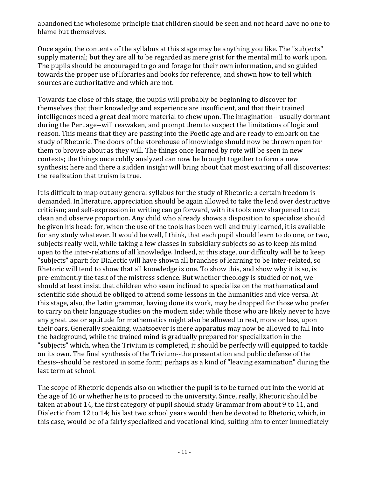abandoned the wholesome principle that children should be seen and not heard have no one to blame but themselves.

Once again, the contents of the syllabus at this stage may be anything you like. The "subjects" supply material; but they are all to be regarded as mere grist for the mental mill to work upon. The pupils should be encouraged to go and forage for their own information, and so guided towards the proper use of libraries and books for reference, and shown how to tell which sources are authoritative and which are not.

Towards the close of this stage, the pupils will probably be beginning to discover for themselves that their knowledge and experience are insufficient, and that their trained intelligences need a great deal more material to chew upon. The imagination-- usually dormant during the Pert age--will reawaken, and prompt them to suspect the limitations of logic and reason. This means that they are passing into the Poetic age and are ready to embark on the study of Rhetoric. The doors of the storehouse of knowledge should now be thrown open for them to browse about as they will. The things once learned by rote will be seen in new contexts; the things once coldly analyzed can now be brought together to form a new synthesis; here and there a sudden insight will bring about that most exciting of all discoveries: the realization that truism is true.

It is difficult to map out any general syllabus for the study of Rhetoric: a certain freedom is demanded. In literature, appreciation should be again allowed to take the lead over destructive criticism; and self-expression in writing can go forward, with its tools now sharpened to cut clean and observe proportion. Any child who already shows a disposition to specialize should be given his head: for, when the use of the tools has been well and truly learned, it is available for any study whatever. It would be well, I think, that each pupil should learn to do one, or two, subjects really well, while taking a few classes in subsidiary subjects so as to keep his mind open to the inter-relations of all knowledge. Indeed, at this stage, our difficulty will be to keep "subjects" apart; for Dialectic will have shown all branches of learning to be inter-related, so Rhetoric will tend to show that all knowledge is one. To show this, and show why it is so, is pre-eminently the task of the mistress science. But whether theology is studied or not, we should at least insist that children who seem inclined to specialize on the mathematical and scientific side should be obliged to attend some lessons in the humanities and vice versa. At this stage, also, the Latin grammar, having done its work, may be dropped for those who prefer to carry on their language studies on the modern side; while those who are likely never to have any great use or aptitude for mathematics might also be allowed to rest, more or less, upon their oars. Generally speaking, whatsoever is mere apparatus may now be allowed to fall into the background, while the trained mind is gradually prepared for specialization in the "subjects" which, when the Trivium is completed, it should be perfectly will equipped to tackle on its own. The final synthesis of the Trivium--the presentation and public defense of the thesis--should be restored in some form; perhaps as a kind of "leaving examination" during the last term at school.

The scope of Rhetoric depends also on whether the pupil is to be turned out into the world at the age of 16 or whether he is to proceed to the university. Since, really, Rhetoric should be taken at about 14, the first category of pupil should study Grammar from about 9 to 11, and Dialectic from 12 to 14; his last two school years would then be devoted to Rhetoric, which, in this case, would be of a fairly specialized and vocational kind, suiting him to enter immediately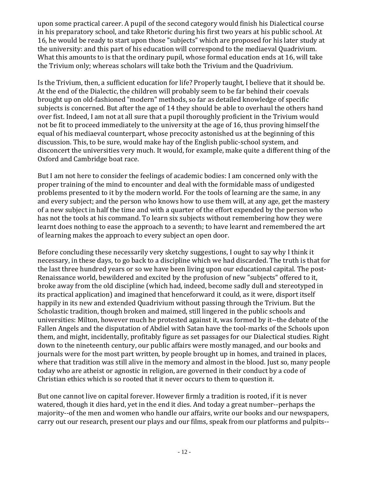upon some practical career. A pupil of the second category would finish his Dialectical course in his preparatory school, and take Rhetoric during his first two years at his public school. At 16, he would be ready to start upon those "subjects" which are proposed for his later study at the university: and this part of his education will correspond to the mediaeval Quadrivium. What this amounts to is that the ordinary pupil, whose formal education ends at 16, will take the Trivium only; whereas scholars will take both the Trivium and the Quadrivium.

Is the Trivium, then, a sufficient education for life? Properly taught, I believe that it should be. At the end of the Dialectic, the children will probably seem to be far behind their coevals brought up on old-fashioned "modern" methods, so far as detailed knowledge of specific subjects is concerned. But after the age of 14 they should be able to overhaul the others hand over fist. Indeed, I am not at all sure that a pupil thoroughly proficient in the Trivium would not be fit to proceed immediately to the university at the age of 16, thus proving himself the equal of his mediaeval counterpart, whose precocity astonished us at the beginning of this discussion. This, to be sure, would make hay of the English public-school system, and disconcert the universities very much. It would, for example, make quite a different thing of the Oxford and Cambridge boat race.

But I am not here to consider the feelings of academic bodies: I am concerned only with the proper training of the mind to encounter and deal with the formidable mass of undigested problems presented to it by the modern world. For the tools of learning are the same, in any and every subject; and the person who knows how to use them will, at any age, get the mastery of a new subject in half the time and with a quarter of the effort expended by the person who has not the tools at his command. To learn six subjects without remembering how they were learnt does nothing to ease the approach to a seventh; to have learnt and remembered the art of learning makes the approach to every subject an open door.

Before concluding these necessarily very sketchy suggestions, I ought to say why I think it necessary, in these days, to go back to a discipline which we had discarded. The truth is that for the last three hundred vears or so we have been living upon our educational capital. The post-Renaissance world, bewildered and excited by the profusion of new "subjects" offered to it, broke away from the old discipline (which had, indeed, become sadly dull and stereotyped in its practical application) and imagined that henceforward it could, as it were, disport itself happily in its new and extended Quadrivium without passing through the Trivium. But the Scholastic tradition, though broken and maimed, still lingered in the public schools and universities: Milton, however much he protested against it, was formed by it--the debate of the Fallen Angels and the disputation of Abdiel with Satan have the tool-marks of the Schools upon them, and might, incidentally, profitably figure as set passages for our Dialectical studies. Right down to the nineteenth century, our public affairs were mostly managed, and our books and journals were for the most part written, by people brought up in homes, and trained in places, where that tradition was still alive in the memory and almost in the blood. Just so, many people today who are atheist or agnostic in religion, are governed in their conduct by a code of Christian ethics which is so rooted that it never occurs to them to question it.

But one cannot live on capital forever. However firmly a tradition is rooted, if it is never watered, though it dies hard, yet in the end it dies. And today a great number--perhaps the majority--of the men and women who handle our affairs, write our books and our newspapers, carry out our research, present our plays and our films, speak from our platforms and pulpits--